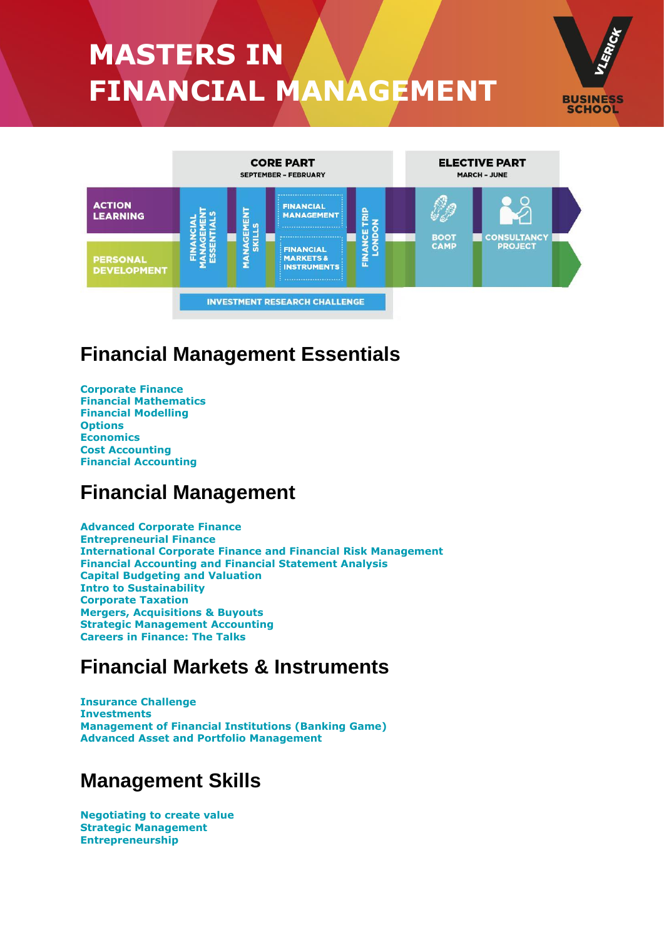# **MASTERS IN FINANCIAL MANAGEMENT**





## **Financial Management Essentials**

**[Corporate](#page-1-0) Finance Financial [Mathematics](#page-2-0) Financial [Modelling](#page-2-1) [Options](#page-2-2) [Economics](#page-2-3) Cost [Accounting](#page-3-0) Financial [Accounting](#page-3-1)**

## **Financial Management**

**Advanced [Corporate](#page-3-2) Finance [Entrepreneurial](#page-4-0) Finance [International](#page-4-1) Corporate Finance and Financial Risk Management Financial [Accounting](#page-4-2) and Financial Statement Analysis Capital [Budgeting](#page-5-0) and Valuation Intro to [Sustainability](#page-5-1) [Corporate](#page-5-2) Taxation Mergers, [Acquisitions](#page-5-3) & Buyouts Strategic [Management](#page-6-0) Accounting Careers in [Finance:](#page-6-1) The Talks**

## **Financial Markets & Instruments**

**[Insurance](#page-8-0) Challenge [Investments](#page-8-0) [Management](#page-8-0) of Financial Institutions (Banking Game) Advanced Asset and Portfolio [Management](#page-8-0)**

## **Management Skills**

**[Negotiating](#page-8-1) to create value Strategic [Management](#page-8-2) [Entrepreneurship](#page-9-0)**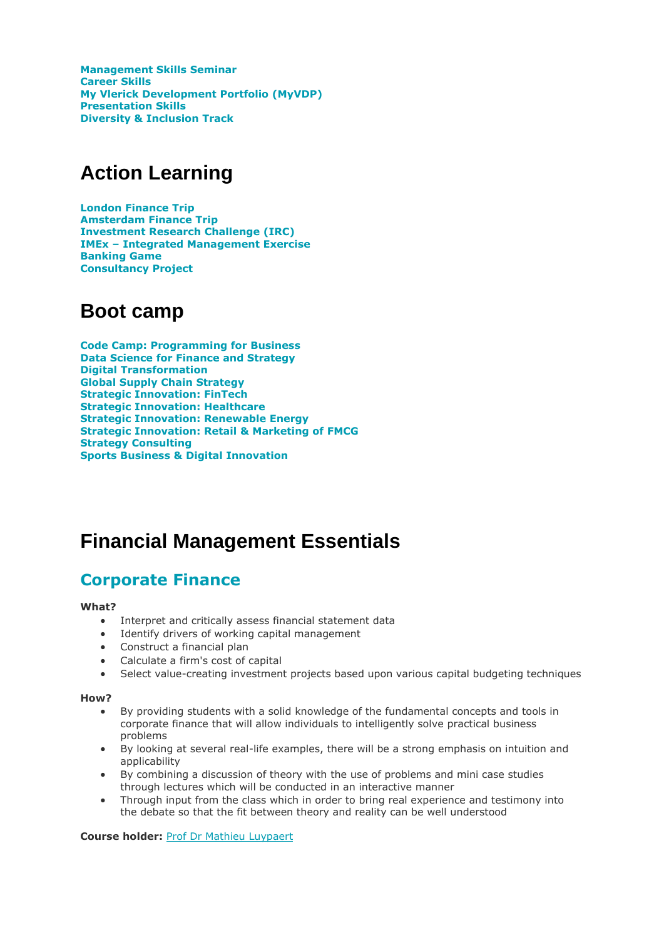**[Management](#page-9-1) Skills Seminar [Career](#page-9-2) Skills My Vlerick [Development](#page-10-0) Portfolio (MyVDP) [Presentation](#page-10-1) Skills Diversity & [Inclusion](#page-10-2) Track**

## **Action Learning**

**London [Finance](#page-11-0) Trip [Amsterdam](#page-11-1) Finance Trip [Investment](#page-11-2) Research Challenge (IRC) IMEx – Integrated [Management](#page-11-3) Exercise [Banking](#page-7-0) Game [Consultancy](#page-12-0) Project**

## **Boot camp**

**Code Camp: Programming for Business Data Science for Finance and Strategy Digital Transformation Global Supply Chain Strategy Strategic Innovation: FinTech Strategic Innovation: Healthcare Strategic Innovation: Renewable Energy Strategic Innovation: Retail & Marketing of FMCG Strategy Consulting Sports Business & Digital Innovation**

## **Financial Management Essentials**

### <span id="page-1-0"></span>**[Corporate](javascript:;) Finance**

### **What?**

- Interpret and critically assess financial statement data
- Identify drivers of working capital management
- Construct a financial plan
- Calculate a firm's cost of capital
- Select value-creating investment projects based upon various capital budgeting techniques

### **How?**

- By providing students with a solid knowledge of the fundamental concepts and tools in corporate finance that will allow individuals to intelligently solve practical business problems
- By looking at several real-life examples, there will be a strong emphasis on intuition and applicability
- By combining a discussion of theory with the use of problems and mini case studies through lectures which will be conducted in an interactive manner
- Through input from the class which in order to bring real experience and testimony into the debate so that the fit between theory and reality can be well understood

### **Course holder:** Prof Dr Mathieu [Luypaert](https://www.vlerick.com/en/research-and-faculty/faculty/mathieu-luypaert)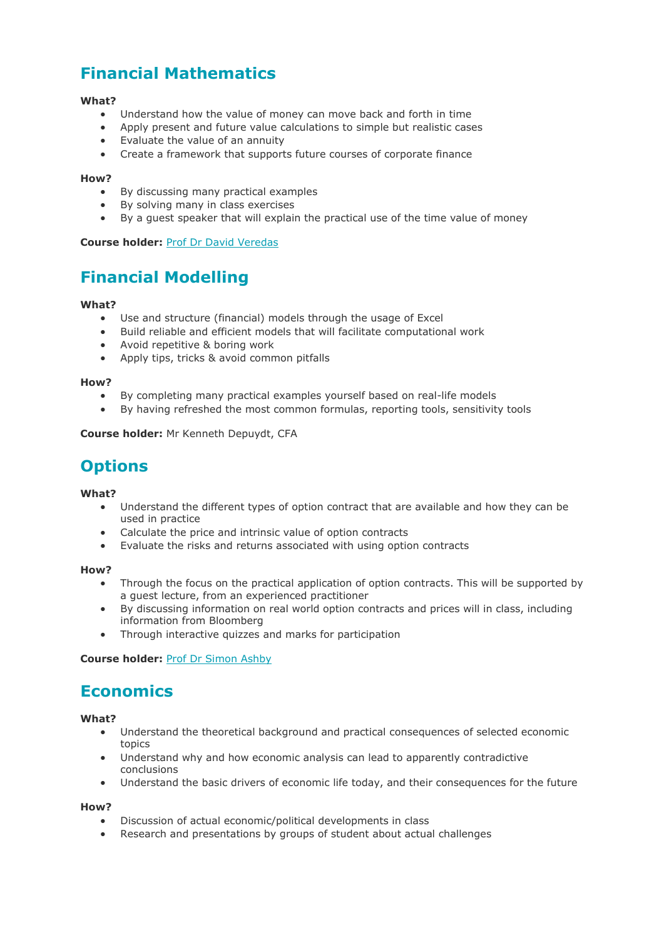## <span id="page-2-0"></span>**Financial [Mathematics](javascript:;)**

### **What?**

- Understand how the value of money can move back and forth in time
- Apply present and future value calculations to simple but realistic cases
- Evaluate the value of an annuity
- Create a framework that supports future courses of corporate finance

#### **How?**

- By discussing many practical examples
- By solving many in class exercises
- By a guest speaker that will explain the practical use of the time value of money

### **Course holder:** Prof Dr David [Veredas](https://www.vlerick.com/en/research-and-faculty/faculty/david-veredas)

### <span id="page-2-1"></span>**Financial [Modelling](javascript:;)**

### **What?**

- Use and structure (financial) models through the usage of Excel
- Build reliable and efficient models that will facilitate computational work
- Avoid repetitive & boring work
- Apply tips, tricks & avoid common pitfalls

#### **How?**

- By completing many practical examples yourself based on real-life models
- By having refreshed the most common formulas, reporting tools, sensitivity tools

**Course holder:** Mr Kenneth Depuydt, CFA

### <span id="page-2-2"></span>**[Options](javascript:;)**

#### **What?**

- Understand the different types of option contract that are available and how they can be used in practice
- Calculate the price and intrinsic value of option contracts
- Evaluate the risks and returns associated with using option contracts

#### **How?**

- Through the focus on the practical application of option contracts. This will be supported by a guest lecture, from an experienced practitioner
- By discussing information on real world option contracts and prices will in class, including information from Bloomberg
- Through interactive quizzes and marks for participation

**Course holder:** Prof Dr [Simon](https://www.vlerick.com/en/research-and-faculty/faculty/simon-ashby) Ashby

### <span id="page-2-3"></span>**[Economics](javascript:;)**

### **What?**

- Understand the theoretical background and practical consequences of selected economic topics
- Understand why and how economic analysis can lead to apparently contradictive conclusions
- Understand the basic drivers of economic life today, and their consequences for the future

- Discussion of actual economic/political developments in class
- Research and presentations by groups of student about actual challenges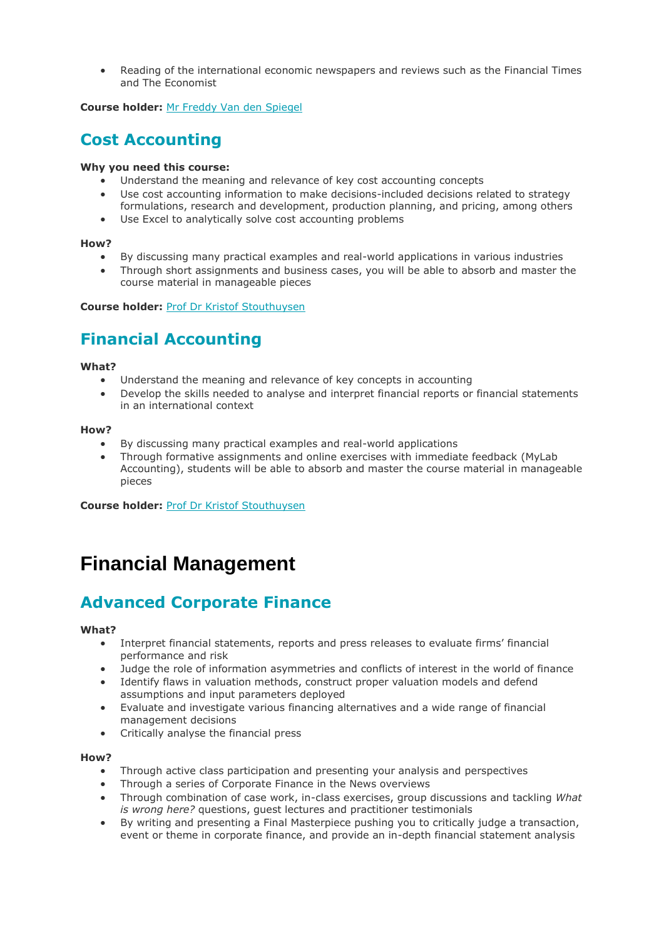• Reading of the international economic newspapers and reviews such as the Financial Times and The Economist

**Course holder:** Mr Freddy Van den [Spiegel](https://www.vlerick.com/en/research-and-faculty/faculty/freddy-van-den-spiegel)

### <span id="page-3-0"></span>**Cost [Accounting](javascript:;)**

### **Why you need this course:**

- Understand the meaning and relevance of key cost accounting concepts
- Use cost accounting information to make decisions-included decisions related to strategy formulations, research and development, production planning, and pricing, among others
- Use Excel to analytically solve cost accounting problems

### **How?**

- By discussing many practical examples and real-world applications in various industries
- Through short assignments and business cases, you will be able to absorb and master the course material in manageable pieces

**Course holder:** Prof Dr Kristof [Stouthuysen](https://www.vlerick.com/en/research-and-faculty/faculty/kristof-stouthuysen)

### <span id="page-3-1"></span>**Financial [Accounting](javascript:;)**

### **What?**

- Understand the meaning and relevance of key concepts in accounting
- Develop the skills needed to analyse and interpret financial reports or financial statements in an international context

### **How?**

- By discussing many practical examples and real-world applications
- Through formative assignments and online exercises with immediate feedback (MyLab Accounting), students will be able to absorb and master the course material in manageable pieces

**Course holder: Prof Dr Kristof [Stouthuysen](https://www.vlerick.com/en/research-and-faculty/faculty/kristof-stouthuysen)** 

## **Financial Management**

### <span id="page-3-2"></span>**Advanced [Corporate](javascript:;) Finance**

### **What?**

- Interpret financial statements, reports and press releases to evaluate firms' financial performance and risk
- Judge the role of information asymmetries and conflicts of interest in the world of finance
- Identify flaws in valuation methods, construct proper valuation models and defend assumptions and input parameters deployed
- Evaluate and investigate various financing alternatives and a wide range of financial management decisions
- Critically analyse the financial press

- Through active class participation and presenting your analysis and perspectives
- Through a series of Corporate Finance in the News overviews
- Through combination of case work, in-class exercises, group discussions and tackling *What is wrong here?* questions, guest lectures and practitioner testimonials
- By writing and presenting a Final Masterpiece pushing you to critically judge a transaction, event or theme in corporate finance, and provide an in-depth financial statement analysis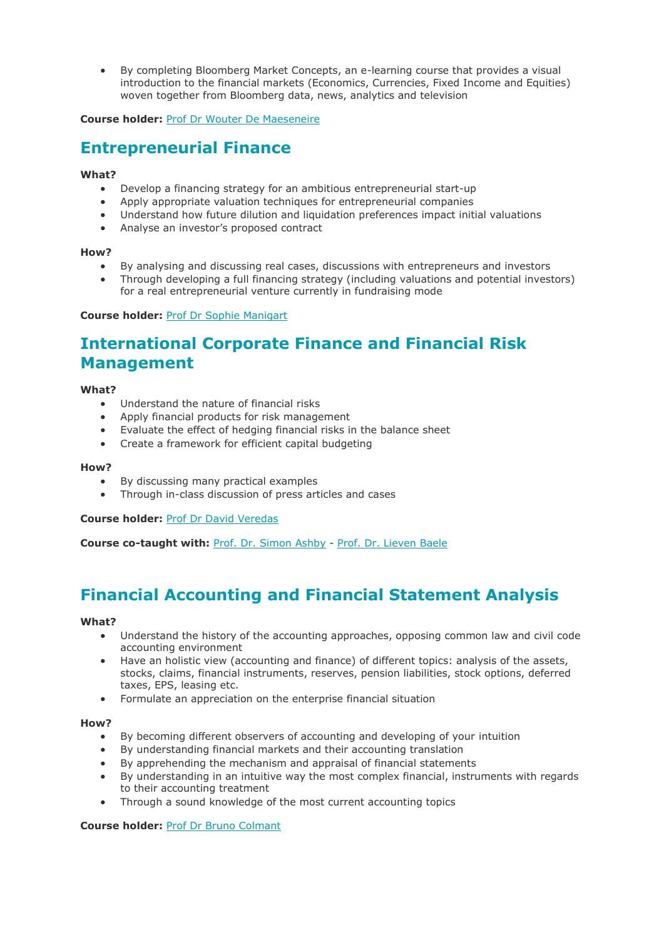• By completing Bloomberg Market Concepts, an e-learning course that provides a visual introduction to the financial markets (Economics, Currencies, Fixed Income and Equities) woven together from Bloomberg data, news, analytics and television

**Course holder:** Prof Dr Wouter De [Maeseneire](https://www.vlerick.com/en/research-and-faculty/faculty/wouter-de-maeseneire)

### <span id="page-4-0"></span>**[Entrepreneurial](javascript:;) Finance**

### **What?**

- Develop a financing strategy for an ambitious entrepreneurial start-up
- Apply appropriate valuation techniques for entrepreneurial companies
- Understand how future dilution and liquidation preferences impact initial valuations
- Analyse an investor's proposed contract

### **How?**

- By analysing and discussing real cases, discussions with entrepreneurs and investors
- Through developing a full financing strategy (including valuations and potential investors) for a real entrepreneurial venture currently in fundraising mode

**Course holder:** Prof Dr Sophie [Manigart](https://www.vlerick.com/en/research-and-faculty/faculty/sophie-manigart)

### <span id="page-4-1"></span>**[International](javascript:;) Corporate Finance and Financial Risk [Management](javascript:;)**

### **What?**

- Understand the nature of financial risks
- Apply financial products for risk management
- Evaluate the effect of hedging financial risks in the balance sheet
- Create a framework for efficient capital budgeting

### **How?**

- By discussing many practical examples
- Through in-class discussion of press articles and cases

**Course holder:** Prof Dr David [Veredas](https://www.vlerick.com/en/research-and-faculty/faculty/david-veredas)

**Course co-taught with:** Prof. Dr. [Simon](https://www.vlerick.com/nl/research-and-faculty/faculty/simon-ashby) Ashby - Prof. Dr. [Lieven](https://sites.google.com/site/lievenbaele/) Baele

### <span id="page-4-2"></span>**Financial [Accounting](javascript:;) and Financial Statement Analysis**

### **What?**

- Understand the history of the accounting approaches, opposing common law and civil code accounting environment
- Have an holistic view (accounting and finance) of different topics: analysis of the assets, stocks, claims, financial instruments, reserves, pension liabilities, stock options, deferred taxes, EPS, leasing etc.
- Formulate an appreciation on the enterprise financial situation

### **How?**

- By becoming different observers of accounting and developing of your intuition
- By understanding financial markets and their accounting translation
- By apprehending the mechanism and appraisal of financial statements
- By understanding in an intuitive way the most complex financial, instruments with regards to their accounting treatment
- Through a sound knowledge of the most current accounting topics

### **Course holder:** Prof Dr Bruno [Colmant](https://www.vlerick.com/en/research-and-faculty/faculty/bruno-colmant)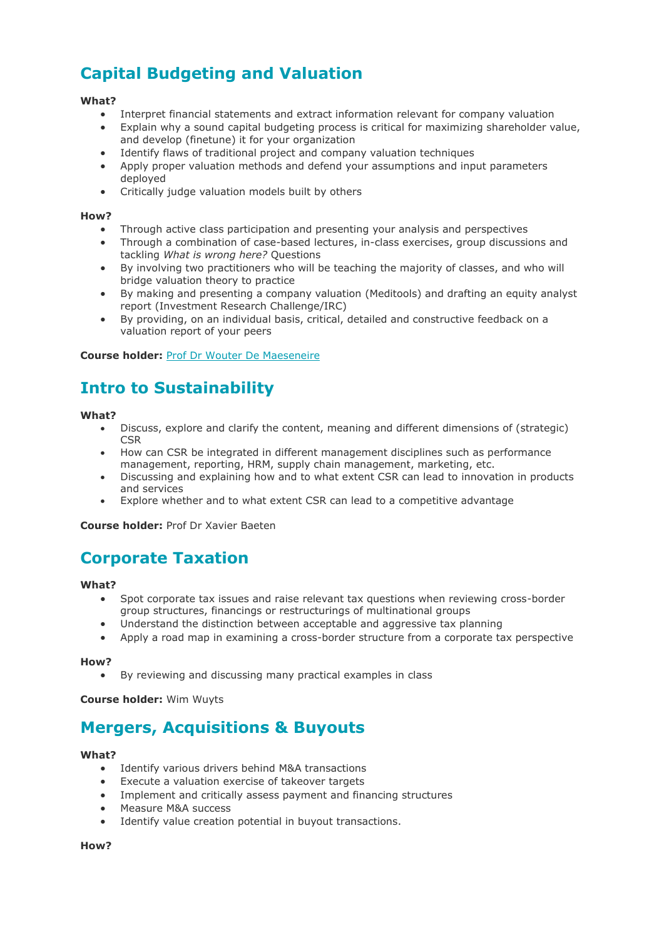## <span id="page-5-0"></span>**Capital [Budgeting](javascript:;) and Valuation**

### **What?**

- Interpret financial statements and extract information relevant for company valuation
- Explain why a sound capital budgeting process is critical for maximizing shareholder value, and develop (finetune) it for your organization
- Identify flaws of traditional project and company valuation techniques
- Apply proper valuation methods and defend your assumptions and input parameters deployed
- Critically judge valuation models built by others

### **How?**

- Through active class participation and presenting your analysis and perspectives
- Through a combination of case-based lectures, in-class exercises, group discussions and tackling *What is wrong here?* Questions
- By involving two practitioners who will be teaching the majority of classes, and who will bridge valuation theory to practice
- By making and presenting a company valuation (Meditools) and drafting an equity analyst report (Investment Research Challenge/IRC)
- By providing, on an individual basis, critical, detailed and constructive feedback on a valuation report of your peers

### **Course holder:** Prof Dr Wouter De [Maeseneire](https://www.vlerick.com/en/research-and-faculty/faculty/wouter-de-maeseneire)

### <span id="page-5-1"></span>**Intro to [Sustainability](javascript:;)**

### **What?**

- Discuss, explore and clarify the content, meaning and different dimensions of (strategic) **CSR**
- How can CSR be integrated in different management disciplines such as performance management, reporting, HRM, supply chain management, marketing, etc.
- Discussing and explaining how and to what extent CSR can lead to innovation in products and services
- Explore whether and to what extent CSR can lead to a competitive advantage

**Course holder:** Prof Dr Xavier Baeten

### <span id="page-5-2"></span>**[Corporate](javascript:;) Taxation**

### **What?**

- Spot corporate tax issues and raise relevant tax questions when reviewing cross-border group structures, financings or restructurings of multinational groups
- Understand the distinction between acceptable and aggressive tax planning
- Apply a road map in examining a cross-border structure from a corporate tax perspective

### **How?**

By reviewing and discussing many practical examples in class

**Course holder:** Wim Wuyts

### <span id="page-5-3"></span>**Mergers, [Acquisitions](javascript:;) & Buyouts**

### **What?**

- Identify various drivers behind M&A transactions
- Execute a valuation exercise of takeover targets
- Implement and critically assess payment and financing structures
- Measure M&A success
- Identify value creation potential in buyout transactions.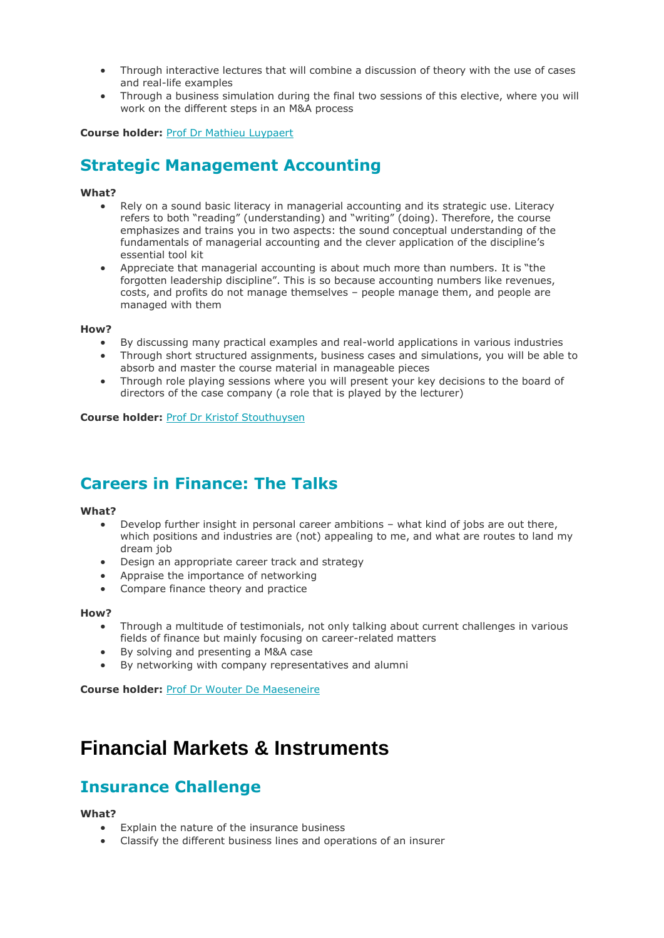- Through interactive lectures that will combine a discussion of theory with the use of cases and real-life examples
- Through a business simulation during the final two sessions of this elective, where you will work on the different steps in an M&A process

**Course holder:** Prof Dr Mathieu [Luypaert](https://www.vlerick.com/en/research-and-faculty/faculty/mathieu-luypaert)

### <span id="page-6-0"></span>**Strategic [Management](javascript:;) Accounting**

### **What?**

- Rely on a sound basic literacy in managerial accounting and its strategic use. Literacy refers to both "reading" (understanding) and "writing" (doing). Therefore, the course emphasizes and trains you in two aspects: the sound conceptual understanding of the fundamentals of managerial accounting and the clever application of the discipline's essential tool kit
- Appreciate that managerial accounting is about much more than numbers. It is "the forgotten leadership discipline". This is so because accounting numbers like revenues, costs, and profits do not manage themselves – people manage them, and people are managed with them

### **How?**

- By discussing many practical examples and real-world applications in various industries
- Through short structured assignments, business cases and simulations, you will be able to absorb and master the course material in manageable pieces
- Through role playing sessions where you will present your key decisions to the board of directors of the case company (a role that is played by the lecturer)

### **Course holder:** Prof Dr Kristof [Stouthuysen](https://www.vlerick.com/en/research-and-faculty/faculty/kristof-stouthuysen)

### <span id="page-6-1"></span>**Careers in [Finance:](javascript:;) The Talks**

### **What?**

- Develop further insight in personal career ambitions what kind of jobs are out there, which positions and industries are (not) appealing to me, and what are routes to land my dream job
- Design an appropriate career track and strategy
- Appraise the importance of networking
- Compare finance theory and practice

### **How?**

- Through a multitude of testimonials, not only talking about current challenges in various fields of finance but mainly focusing on career-related matters
- By solving and presenting a M&A case
- By networking with company representatives and alumni

**Course holder:** Prof Dr Wouter De [Maeseneire](https://www.vlerick.com/en/research-and-faculty/faculty/wouter-de-maeseneire)

## **Financial Markets & Instruments**

### **[Insurance](javascript:;) Challenge**

### **[What?](javascript:;)**

- [Explain the nature of the insurance business](javascript:;)
- [Classify the different business lines and operations of an insurer](javascript:;)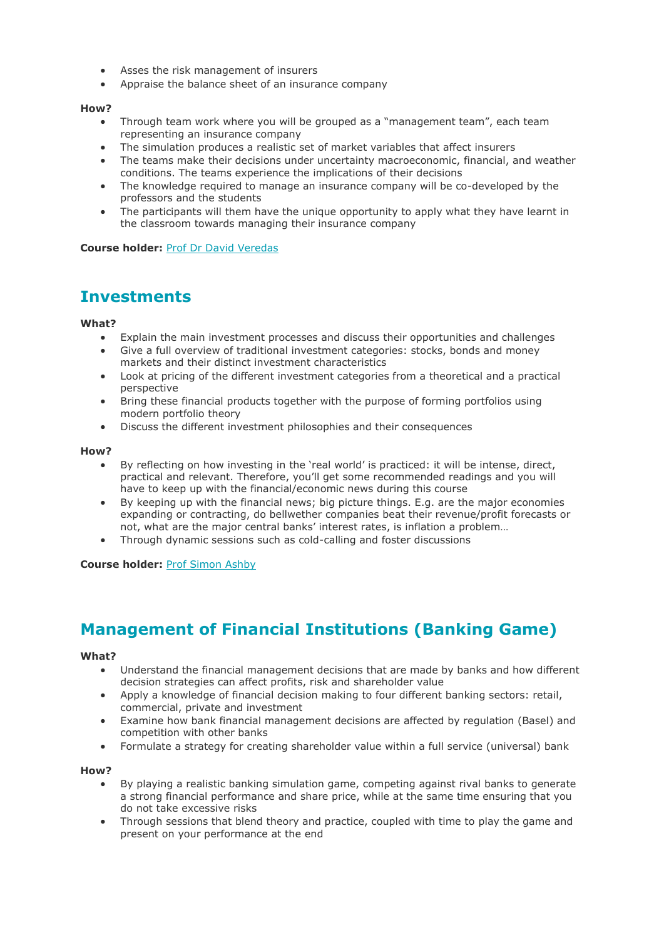- [Asses the risk management of insurers](javascript:;)
- [Appraise the balance sheet of an insurance company](javascript:;)

### **[How?](javascript:;)**

- [Through team work where you will be grouped as a "management team", each team](javascript:;)  [representing an insurance company](javascript:;)
- [The simulation produces a realistic set of market variables that affect insurers](javascript:;)
- [The teams make their decisions under uncertainty macroeconomic, financial, and weather](javascript:;)  [conditions. The teams experience the implications of their decisions](javascript:;)
- [The knowledge required to manage an insurance company will be co-developed by the](javascript:;)  [professors and the students](javascript:;)
- The participants will them have the unique opportunity to apply what they have learnt in [the classroom towards managing their insurance company](javascript:;)

**Course holder:** Prof Dr David [Veredas](javascript:;)

### **[Investments](javascript:;)**

### **[What?](javascript:;)**

- [Explain the main investment processes and discuss their opportunities and challenges](javascript:;)
- [Give a full overview of traditional investment categories: stocks, bonds and money](javascript:;)  [markets and their distinct investment characteristics](javascript:;)
- [Look at pricing of the different investment categories from a theoretical and a practical](javascript:;)  [perspective](javascript:;)
- [Bring these financial products together with the purpose of forming portfolios using](javascript:;)  [modern portfolio theory](javascript:;)
- [Discuss the different investment philosophies and their consequences](javascript:;)

### **[How?](javascript:;)**

- By reflecting on how investing in the 'real world' is practiced: it will be intense, direct, [practical and relevant. Therefore, you'll get some recommended readings and you will](javascript:;)  have to keep [up with the financial/economic news during this course](javascript:;)
- [By keeping up with the financial news; big picture things. E.g. are the major economies](javascript:;)  [expanding or contracting, do bellwether companies beat their revenue/profit forecasts or](javascript:;)  not, what are the major [central banks' interest rates, is inflation a problem…](javascript:;)
- [Through dynamic sessions such as cold-calling and foster discussions](javascript:;)

**Course [holder:](javascript:;)** Prof [Simon](javascript:;) Ashby

### <span id="page-7-0"></span>**[Management](javascript:;) of Financial Institutions (Banking Game)**

### **[What?](javascript:;)**

- [Understand the financial management decisions that are made by banks and how different](javascript:;)  [decision strategies can affect profits, risk and shareholder value](javascript:;)
- [Apply a knowledge of financial decision making to four different banking sectors: retail,](javascript:;)  [commercial, private and investment](javascript:;)
- [Examine how bank financial management decisions are affected by regulation \(Basel\) and](javascript:;)  [competition with other banks](javascript:;)
- [•](javascript:;) [Formulate a strategy for creating shareholder value within a full service \(universal\) bank](javascript:;)

- [By playing a realistic banking simulation game, competing against rival banks to generate](javascript:;)  [a strong financial performance and share price, while at the same time ensuring that you](javascript:;)  [do not take excessive risks](javascript:;)
- [Through sessions that blend theory and practice, coupled with time to](javascript:;) play the game and [present on your performance at the end](javascript:;)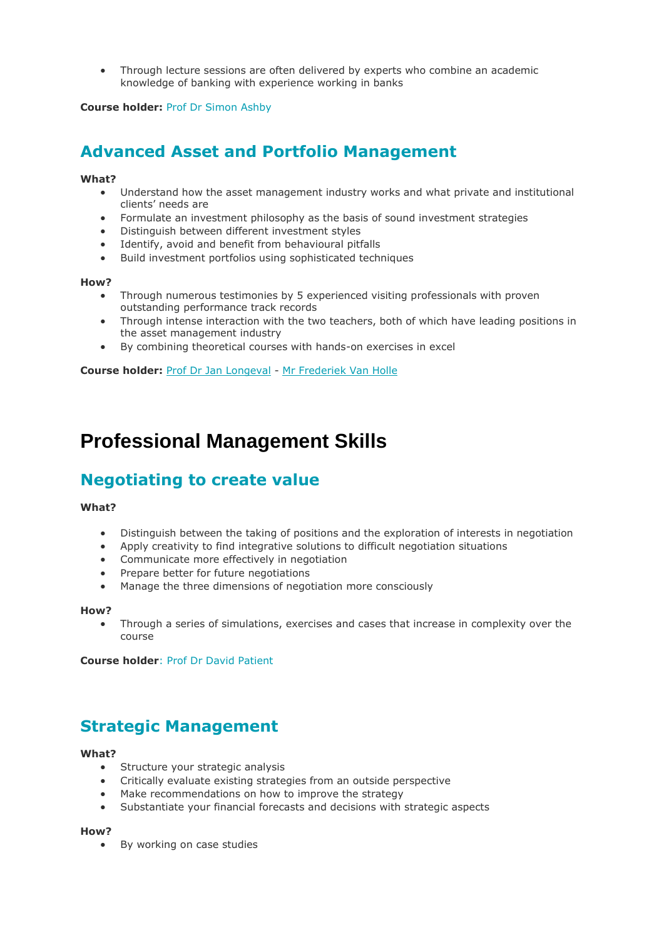• [Through lecture sessions are often delivered by experts who combine an academic](javascript:;)  [knowledge of banking with experience working in banks](javascript:;)

**Course [holder:](javascript:;)** Prof Dr [Simon](https://www.vlerick.com/en/research-and-faculty/faculty/simon-ashby) Ashby

### <span id="page-8-0"></span>**Advanced Asset and Portfolio [Management](javascript:;)**

### **[What?](javascript:;)**

- [Understand how the asset management industry works and what private and institutional](javascript:;)  [clients' needs are](javascript:;)
- [Formulate an investment philosophy as the basis of sound investment strategies](javascript:;)
- [Distinguish between different investment styles](javascript:;)
- [Identify, avoid and benefit from behavioural pitfalls](javascript:;)
- [Build investment portfolios using sophisticated techniques](javascript:;)

### **[How?](javascript:;)**

- [Through numerous testimonies by 5 experienced visiting professionals with proven](javascript:;)  [outstanding performance track records](javascript:;)
- [Through intense interaction with the two teachers, both of which have leading positions in](javascript:;)  [the asset management industry](javascript:;)
- [•](javascript:;) [By combining theoretical courses with hands-on exercises in excel](javascript:;)

**Course holder:** Prof Dr Jan [Longeval](javascript:;) - Mr [Frederiek](javascript:;) Van Holle

## **Professional Management Skills**

### <span id="page-8-1"></span>**[Negotiating](javascript:;) to create value**

### **What?**

- Distinguish between the taking of positions and the exploration of interests in negotiation
- Apply creativity to find integrative solutions to difficult negotiation situations
- Communicate more effectively in negotiation
- Prepare better for future negotiations
- Manage the three dimensions of negotiation more consciously

### **How?**

• Through a series of simulations, exercises and cases that increase in complexity over the course

**Course holder**: Prof Dr David [Patient](https://www.vlerick.com/en/find-faculty-and-experts/david-patient/)

### <span id="page-8-2"></span>**Strategic [Management](javascript:;)**

### **What?**

- Structure your strategic analysis
- Critically evaluate existing strategies from an outside perspective
- Make recommendations on how to improve the strategy
- Substantiate your financial forecasts and decisions with strategic aspects

### **How?**

• By working on case studies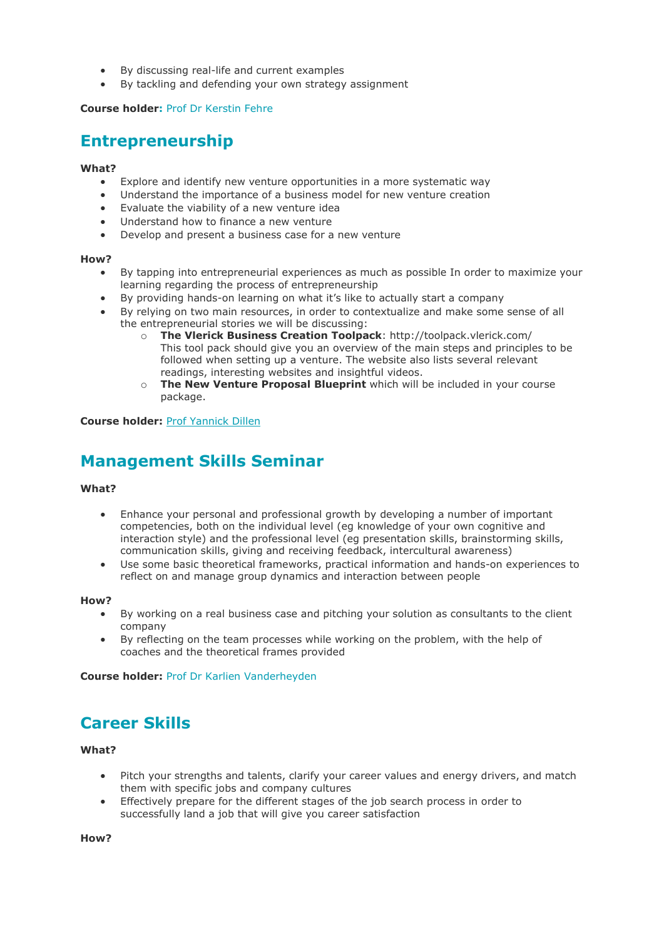- By discussing real-life and current examples
- By tackling and defending your own strategy assignment

### **Course holder:** Prof Dr [Kerstin](https://www.vlerick.com/en/find-faculty-and-experts/kerstin-fehre/) Fehre

### <span id="page-9-0"></span>**[Entrepreneurship](javascript:;)**

### **What?**

- Explore and identify new venture opportunities in a more systematic way
- Understand the importance of a business model for new venture creation
- Evaluate the viability of a new venture idea
- Understand how to finance a new venture
- Develop and present a business case for a new venture

### **How?**

- By tapping into entrepreneurial experiences as much as possible In order to maximize your learning regarding the process of entrepreneurship
- By providing hands-on learning on what it's like to actually start a company
- By relying on two main resources, in order to contextualize and make some sense of all the entrepreneurial stories we will be discussing:
	- o **The Vlerick Business Creation Toolpack**: http://toolpack.vlerick.com/ This tool pack should give you an overview of the main steps and principles to be followed when setting up a venture. The website also lists several relevant readings, interesting websites and insightful videos.
	- o **The New Venture Proposal Blueprint** which will be included in your course package.

### **Course holder:** Prof [Yannick](https://www.vlerick.com/en/research-and-faculty/faculty/yannick-dillen) Dillen

### <span id="page-9-1"></span>**[Management](javascript:;) Skills Seminar**

### **What?**

- Enhance your personal and professional growth by developing a number of important competencies, both on the individual level (eg knowledge of your own cognitive and interaction style) and the professional level (eg presentation skills, brainstorming skills, communication skills, giving and receiving feedback, intercultural awareness)
- Use some basic theoretical frameworks, practical information and hands-on experiences to reflect on and manage group dynamics and interaction between people

### **How?**

- By working on a real business case and pitching your solution as consultants to the client company
- By reflecting on the team processes while working on the problem, with the help of coaches and the theoretical frames provided

**Course holder:** Prof Dr Karlien [Vanderheyden](https://www.vlerick.com/en/research-and-faculty/faculty/karlien-vanderheyden)

### <span id="page-9-2"></span>**[Career](javascript:;) Skills**

### **What?**

- Pitch your strengths and talents, clarify your career values and energy drivers, and match them with specific jobs and company cultures
- Effectively prepare for the different stages of the job search process in order to successfully land a job that will give you career satisfaction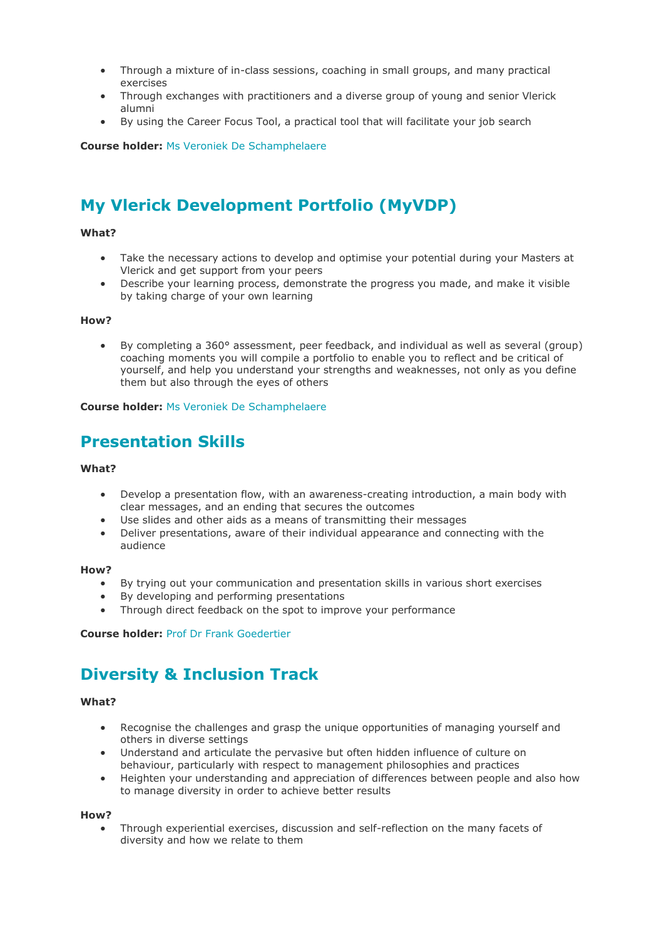- Through a mixture of in-class sessions, coaching in small groups, and many practical exercises
- Through exchanges with practitioners and a diverse group of young and senior Vlerick alumni
- By using the Career Focus Tool, a practical tool that will facilitate your job search

**Course holder:** Ms Veroniek De [Schamphelaere](https://www.vlerick.com/en/research-and-faculty/faculty/veroniek-de-schamphelaere)

### <span id="page-10-0"></span>**My Vlerick [Development](javascript:;) Portfolio (MyVDP)**

### **What?**

- Take the necessary actions to develop and optimise your potential during your Masters at Vlerick and get support from your peers
- Describe your learning process, demonstrate the progress you made, and make it visible by taking charge of your own learning

### **How?**

• By completing a 360° assessment, peer feedback, and individual as well as several (group) coaching moments you will compile a portfolio to enable you to reflect and be critical of yourself, and help you understand your strengths and weaknesses, not only as you define them but also through the eyes of others

#### **Course holder:** Ms Veroniek De [Schamphelaere](https://www.vlerick.com/en/research-and-faculty/faculty/veroniek-de-schamphelaere)

### <span id="page-10-1"></span>**[Presentation](javascript:;) Skills**

### **What?**

- Develop a presentation flow, with an awareness-creating introduction, a main body with clear messages, and an ending that secures the outcomes
- Use slides and other aids as a means of transmitting their messages
- Deliver presentations, aware of their individual appearance and connecting with the audience

#### **How?**

- By trying out your communication and presentation skills in various short exercises
- By developing and performing presentations
- Through direct feedback on the spot to improve your performance

#### **Course holder:** Prof Dr Frank [Goedertier](https://www.vlerick.com/en/research-and-faculty/faculty/frank-goedertier)

### <span id="page-10-2"></span>**Diversity & [Inclusion](javascript:;) Track**

#### **What?**

- Recognise the challenges and grasp the unique opportunities of managing yourself and others in diverse settings
- Understand and articulate the pervasive but often hidden influence of culture on behaviour, particularly with respect to management philosophies and practices
- Heighten your understanding and appreciation of differences between people and also how to manage diversity in order to achieve better results

#### **How?**

• Through experiential exercises, discussion and self-reflection on the many facets of diversity and how we relate to them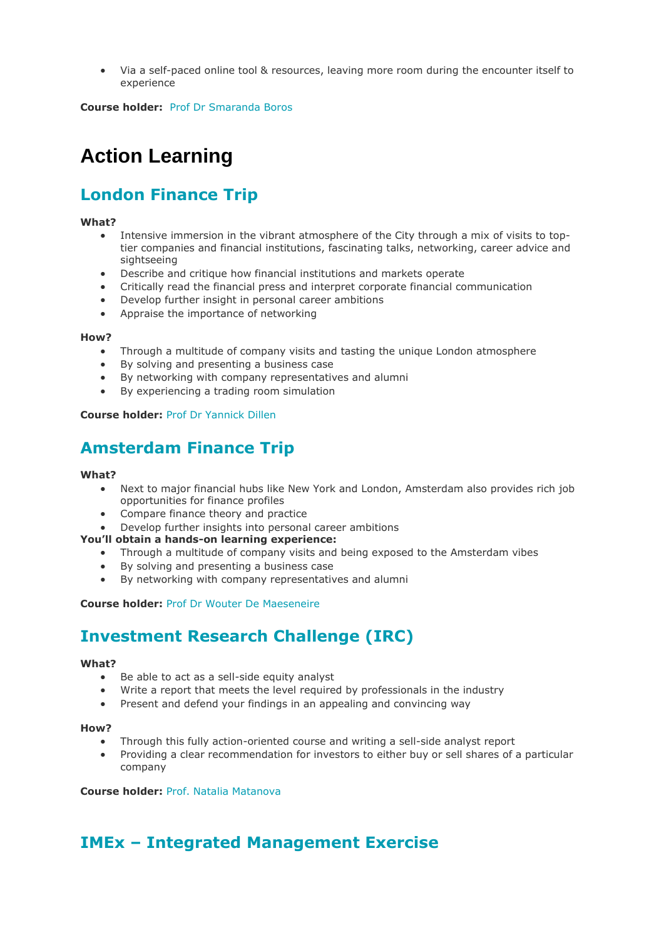• Via a self-paced online tool & resources, leaving more room during the encounter itself to experience

**Course holder:** Prof Dr [Smaranda](https://www.vlerick.com/en/research-and-faculty/faculty/smaranda-boros) Boros

## **Action Learning**

## <span id="page-11-0"></span>**London [Finance](javascript:;) Trip**

### **What?**

- Intensive immersion in the vibrant atmosphere of the City through a mix of visits to toptier companies and financial institutions, fascinating talks, networking, career advice and sightseeing
- Describe and critique how financial institutions and markets operate
- Critically read the financial press and interpret corporate financial communication
- Develop further insight in personal career ambitions
- Appraise the importance of networking

### **How?**

- Through a multitude of company visits and tasting the unique London atmosphere
- By solving and presenting a business case
- By networking with company representatives and alumni
- By experiencing a trading room simulation

### **Course holder:** Prof Dr [Yannick](https://www.vlerick.com/en/research-and-faculty/faculty/yannick-dillen) Dillen

### <span id="page-11-1"></span>**[Amsterdam](javascript:;) Finance Trip**

### **What?**

- Next to major financial hubs like New York and London, Amsterdam also provides rich job opportunities for finance profiles
- Compare finance theory and practice
- Develop further insights into personal career ambitions

### **You'll obtain a hands-on learning experience:**

- Through a multitude of company visits and being exposed to the Amsterdam vibes
- By solving and presenting a business case
- By networking with company representatives and alumni

### **Course holder:** Prof Dr Wouter De [Maeseneire](https://www.vlerick.com/en/research-and-faculty/faculty/wouter-de-maeseneire)

### <span id="page-11-2"></span>**[Investment](javascript:;) Research Challenge (IRC)**

### **What?**

- Be able to act as a sell-side equity analyst
- Write a report that meets the level required by professionals in the industry
- Present and defend your findings in an appealing and convincing way

#### **How?**

- Through this fully action-oriented course and writing a sell-side analyst report
- Providing a clear recommendation for investors to either buy or sell shares of a particular company

### **Course holder:** [Prof. Natalia Matanova](https://www.vlerick.com/en/find-faculty-and-experts/natalia-matanova/)

### <span id="page-11-3"></span>**IMEx – Integrated [Management](javascript:;) Exercise**